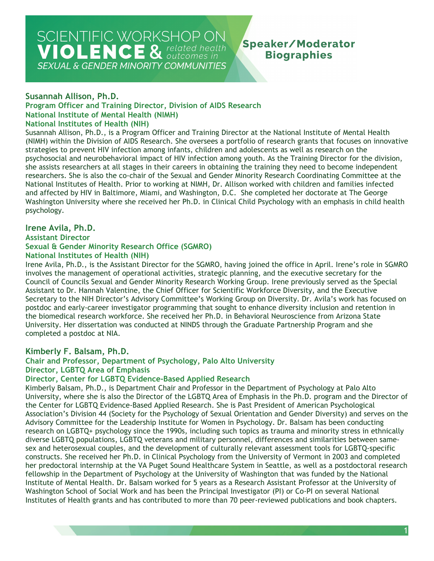## **Speaker/Moderator Biographies**

#### **Program Officer and Training Director, Division of AIDS Research National Institutes of Health (NIH) Susannah Allison, Ph.D. National Institute of Mental Health (NIMH)**

Susannah Allison, Ph.D., is a Program Officer and Training Director at the National Institute of Mental Health (NIMH) within the Division of AIDS Research. She oversees a portfolio of research grants that focuses on innovative strategies to prevent HIV infection among infants, children and adolescents as well as research on the psychosocial and neurobehavioral impact of HIV infection among youth. As the Training Director for the division, she assists researchers at all stages in their careers in obtaining the training they need to become independent researchers. She is also the co-chair of the Sexual and Gender Minority Research Coordinating Committee at the National Institutes of Health. Prior to working at NIMH, Dr. Allison worked with children and families infected and affected by HIV in Baltimore, Miami, and Washington, D.C. She completed her doctorate at The George Washington University where she received her Ph.D. in Clinical Child Psychology with an emphasis in child health psychology.

#### **Irene Avila, Ph.D.**

#### **National Institutes of Health (NIH) Assistant Director Sexual & Gender Minority Research Office (SGMRO)**

Irene Avila, Ph.D., is the Assistant Director for the SGMRO, having joined the office in April. Irene's role in SGMRO involves the management of operational activities, strategic planning, and the executive secretary for the Council of Councils Sexual and Gender Minority Research Working Group. Irene previously served as the Special Assistant to Dr. Hannah Valentine, the Chief Officer for Scientific Workforce Diversity, and the Executive Secretary to the NIH Director's Advisory Committee's Working Group on Diversity. Dr. Avila's work has focused on postdoc and early-career investigator programming that sought to enhance diversity inclusion and retention in the biomedical research workforce. She received her Ph.D. in Behavioral Neuroscience from Arizona State University. Her dissertation was conducted at NINDS through the Graduate Partnership Program and she completed a postdoc at NIA.

#### **Kimberly F. Balsam, Ph.D.**

#### **Chair and Professor, Department of Psychology, Palo Alto University**

#### **Director, LGBTQ Area of Emphasis**

#### **Director, Center for LGBTQ Evidence-Based Applied Research**

 Kimberly Balsam, Ph.D., is Department Chair and Professor in the Department of Psychology at Palo Alto Association's Division 44 (Society for the Psychology of Sexual Orientation and Gender Diversity) and serves on the constructs. She received her Ph.D. in Clinical Psychology from the University of Vermont in 2003 and completed University, where she is also the Director of the LGBTQ Area of Emphasis in the Ph.D. program and the Director of the Center for LGBTQ Evidence-Based Applied Research. She is Past President of American Psychological Advisory Committee for the Leadership Institute for Women in Psychology. Dr. Balsam has been conducting research on LGBTQ+ psychology since the 1990s, including such topics as trauma and minority stress in ethnically diverse LGBTQ populations, LGBTQ veterans and military personnel, differences and similarities between samesex and heterosexual couples, and the development of culturally relevant assessment tools for LGBTQ-specific her predoctoral internship at the VA Puget Sound Healthcare System in Seattle, as well as a postdoctoral research fellowship in the Department of Psychology at the University of Washington that was funded by the National Institute of Mental Health. Dr. Balsam worked for 5 years as a Research Assistant Professor at the University of Washington School of Social Work and has been the Principal Investigator (PI) or Co-PI on several National Institutes of Health grants and has contributed to more than 70 peer-reviewed publications and book chapters.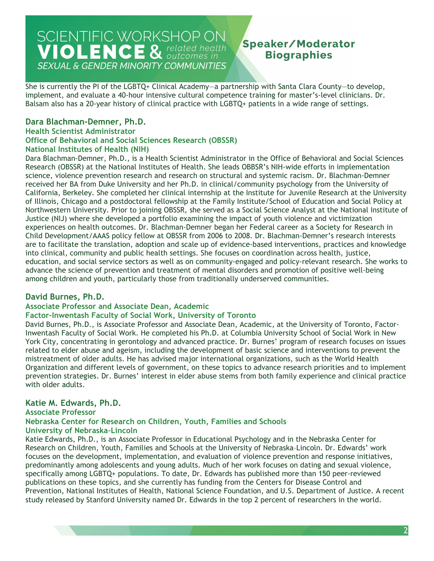## **Speaker/Moderator Biographies**

She is currently the PI of the LGBTQ+ Clinical Academy—a partnership with Santa Clara County—to develop, implement, and evaluate a 40-hour intensive cultural competence training for master's-level clinicians. Dr. Balsam also has a 20-year history of clinical practice with LGBTQ+ patients in a wide range of settings.

#### **Dara Blachman-Demner, Ph.D.**

#### **National Institutes of Health (NIH) Health Scientist Administrator Office of Behavioral and Social Sciences Research (OBSSR)**

 received her BA from Duke University and her Ph.D. in clinical/community psychology from the University of Justice (NIJ) where she developed a portfolio examining the impact of youth violence and victimization Dara Blachman-Demner, Ph.D., is a Health Scientist Administrator in the Office of Behavioral and Social Sciences Research (OBSSR) at the National Institutes of Health. She leads OBBSR's NIH-wide efforts in implementation science, violence prevention research and research on structural and systemic racism. Dr. Blachman-Demner California, Berkeley. She completed her clinical internship at the Institute for Juvenile Research at the University of Illinois, Chicago and a postdoctoral fellowship at the Family Institute/School of Education and Social Policy at Northwestern University. Prior to joining OBSSR, she served as a Social Science Analyst at the National Institute of experiences on health outcomes. Dr. Blachman-Demner began her Federal career as a Society for Research in Child Development/AAAS policy fellow at OBSSR from 2006 to 2008. Dr. Blachman-Demner's research interests are to facilitate the translation, adoption and scale up of evidence-based interventions, practices and knowledge into clinical, community and public health settings. She focuses on coordination across health, justice, education, and social service sectors as well as on community-engaged and policy-relevant research. She works to advance the science of prevention and treatment of mental disorders and promotion of positive well-being among children and youth, particularly those from traditionally underserved communities.

#### **David Burnes, Ph.D.**

#### **Associate Professor and Associate Dean, Academic**

#### **Factor-Inwentash Faculty of Social Work, University of Toronto**

David Burnes, Ph.D., is Associate Professor and Associate Dean, Academic, at the University of Toronto, Factor-Inwentash Faculty of Social Work. He completed his Ph.D. at Columbia University School of Social Work in New York City, concentrating in gerontology and advanced practice. Dr. Burnes' program of research focuses on issues related to elder abuse and ageism, including the development of basic science and interventions to prevent the mistreatment of older adults. He has advised major international organizations, such as the World Health Organization and different levels of government, on these topics to advance research priorities and to implement prevention strategies. Dr. Burnes' interest in elder abuse stems from both family experience and clinical practice with older adults.

#### **Katie M. Edwards, Ph.D.**

#### **Associate Professor**

#### **Nebraska Center for Research on Children, Youth, Families and Schools University of Nebraska–Lincoln**

 Katie Edwards, Ph.D., is an Associate Professor in Educational Psychology and in the Nebraska Center for focuses on the development, implementation, and evaluation of violence prevention and response initiatives, specifically among LGBTQ+ populations. To date, Dr. Edwards has published more than 150 peer-reviewed publications on these topics, and she currently has funding from the Centers for Disease Control and Research on Children, Youth, Families and Schools at the University of Nebraska–Lincoln. Dr. Edwards' work predominantly among adolescents and young adults. Much of her work focuses on dating and sexual violence, Prevention, National Institutes of Health, National Science Foundation, and U.S. Department of Justice. A recent study released by Stanford University named Dr. Edwards in the top 2 percent of researchers in the world.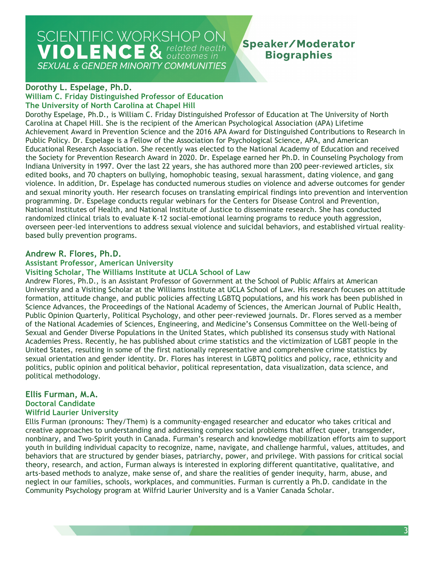**Speaker/Moderator Biographies** 

#### **Dorothy L. Espelage, Ph.D.**

#### **William C. Friday Distinguished Professor of Education The University of North Carolina at Chapel Hill**

 Public Policy. Dr. Espelage is a Fellow of the Association for Psychological Science, APA, and American the Society for Prevention Research Award in 2020. Dr. Espelage earned her Ph.D. in Counseling Psychology from Dorothy Espelage, Ph.D., is William C. Friday Distinguished Professor of Education at The University of North Carolina at Chapel Hill. She is the recipient of the American Psychological Association (APA) Lifetime Achievement Award in Prevention Science and the 2016 APA Award for Distinguished Contributions to Research in Educational Research Association. She recently was elected to the National Academy of Education and received Indiana University in 1997. Over the last 22 years, she has authored more than 200 peer-reviewed articles, six edited books, and 70 chapters on bullying, homophobic teasing, sexual harassment, dating violence, and gang violence. In addition, Dr. Espelage has conducted numerous studies on violence and adverse outcomes for gender and sexual minority youth. Her research focuses on translating empirical findings into prevention and intervention programming. Dr. Espelage conducts regular webinars for the Centers for Disease Control and Prevention, National Institutes of Health, and National Institute of Justice to disseminate research. She has conducted randomized clinical trials to evaluate K–12 social-emotional learning programs to reduce youth aggression, overseen peer-led interventions to address sexual violence and suicidal behaviors, and established virtual reality– based bully prevention programs.

#### **Andrew R. Flores, Ph.D.**

#### **Assistant Professor, American University**

#### **Visiting Scholar, The Williams Institute at UCLA School of Law**

Andrew Flores, Ph.D., is an Assistant Professor of Government at the School of Public Affairs at American University and a Visiting Scholar at the Williams Institute at UCLA School of Law. His research focuses on attitude formation, attitude change, and public policies affecting LGBTQ populations, and his work has been published in Science Advances, the Proceedings of the National Academy of Sciences, the American Journal of Public Health, Public Opinion Quarterly, Political Psychology, and other peer-reviewed journals. Dr. Flores served as a member of the National Academies of Sciences, Engineering, and Medicine's Consensus Committee on the Well-being of Sexual and Gender Diverse Populations in the United States, which published its consensus study with National Academies Press. Recently, he has published about crime statistics and the victimization of LGBT people in the United States, resulting in some of the first nationally representative and comprehensive crime statistics by sexual orientation and gender identity. Dr. Flores has interest in LGBTQ politics and policy, race, ethnicity and politics, public opinion and political behavior, political representation, data visualization, data science, and political methodology.

## **Ellis Furman, M.A. Doctoral Candidate**

## **Wilfrid Laurier University**

 youth in building individual capacity to recognize, name, navigate, and challenge harmful, values, attitudes, and theory, research, and action, Furman always is interested in exploring different quantitative, qualitative, and Ellis Furman (pronouns: They/Them) is a community-engaged researcher and educator who takes critical and creative approaches to understanding and addressing complex social problems that affect queer, transgender, nonbinary, and Two-Spirit youth in Canada. Furman's research and knowledge mobilization efforts aim to support behaviors that are structured by gender biases, patriarchy, power, and privilege. With passions for critical social arts-based methods to analyze, make sense of, and share the realities of gender inequity, harm, abuse, and neglect in our families, schools, workplaces, and communities. Furman is currently a Ph.D. candidate in the Community Psychology program at Wilfrid Laurier University and is a Vanier Canada Scholar.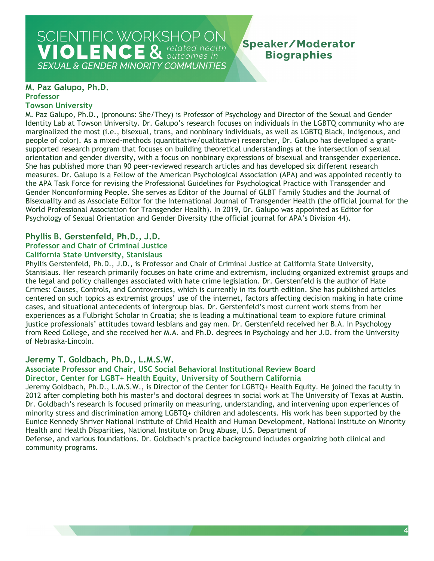### **Speaker/Moderator Biographies**

#### **M. Paz Galupo, Ph.D. Professor**

#### **Towson University**

M. Paz Galupo, Ph.D., (pronouns: She/They) is Professor of Psychology and Director of the Sexual and Gender Identity Lab at Towson University. Dr. Galupo's research focuses on individuals in the LGBTQ community who are marginalized the most (i.e., bisexual, trans, and nonbinary individuals, as well as LGBTQ Black, Indigenous, and people of color). As a mixed-methods (quantitative/qualitative) researcher, Dr. Galupo has developed a grantsupported research program that focuses on building theoretical understandings at the intersection of sexual orientation and gender diversity, with a focus on nonbinary expressions of bisexual and transgender experience. She has published more than 90 peer-reviewed research articles and has developed six different research measures. Dr. Galupo is a Fellow of the American Psychological Association (APA) and was appointed recently to the APA Task Force for revising the Professional Guidelines for Psychological Practice with Transgender and Gender Nonconforming People. She serves as Editor of the Journal of GLBT Family Studies and the Journal of Bisexuality and as Associate Editor for the International Journal of Transgender Health (the official journal for the World Professional Association for Transgender Health). In 2019, Dr. Galupo was appointed as Editor for Psychology of Sexual Orientation and Gender Diversity (the official journal for APA's Division 44).

#### **Phyllis B. Gerstenfeld, Ph.D., J.D.**

#### **Professor and Chair of Criminal Justice**

#### **California State University, Stanislaus**

 Crimes: Causes, Controls, and Controversies, which is currently in its fourth edition. She has published articles from Reed College, and she received her M.A. and Ph.D. degrees in Psychology and her J.D. from the University Phyllis Gerstenfeld, Ph.D., J.D., is Professor and Chair of Criminal Justice at California State University, Stanislaus. Her research primarily focuses on hate crime and extremism, including organized extremist groups and the legal and policy challenges associated with hate crime legislation. Dr. Gerstenfeld is the author of Hate centered on such topics as extremist groups' use of the internet, factors affecting decision making in hate crime cases, and situational antecedents of intergroup bias. Dr. Gerstenfeld's most current work stems from her experiences as a Fulbright Scholar in Croatia; she is leading a multinational team to explore future criminal justice professionals' attitudes toward lesbians and gay men. Dr. Gerstenfeld received her B.A. in Psychology of Nebraska–Lincoln.

#### **Jeremy T. Goldbach, Ph.D., L.M.S.W.**

#### **Associate Professor and Chair, USC Social Behavioral Institutional Review Board Director, Center for LGBT+ Health Equity, University of Southern California**

Jeremy Goldbach, Ph.D., L.M.S.W., is Director of the Center for LGBTQ+ Health Equity. He joined the faculty in 2012 after completing both his master's and doctoral degrees in social work at The University of Texas at Austin. Dr. Goldbach's research is focused primarily on measuring, understanding, and intervening upon experiences of minority stress and discrimination among LGBTQ+ children and adolescents. His work has been supported by the Eunice Kennedy Shriver National Institute of Child Health and Human Development, National Institute on Minority Health and Health Disparities, National Institute on Drug Abuse, U.S. Department of

 Defense, and various foundations. Dr. Goldbach's practice background includes organizing both clinical and community programs.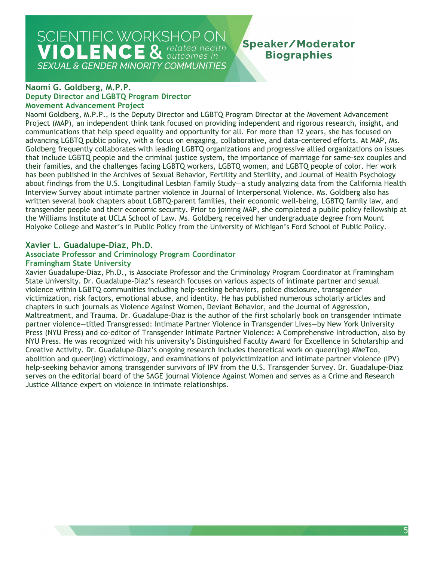## SCIENTIFIC WORKSHOP ON **VIOLENCE & related health**

**SEXUAL & GENDER MINORITY COMMUNITIES** 

## Speaker/Moderator **Biographies**

#### **Deputy Director and LGBTQ Program Director Naomi G. Goldberg, M.P.P. Movement Advancement Project**

 communications that help speed equality and opportunity for all. For more than 12 years, she has focused on that include LGBTQ people and the criminal justice system, the importance of marriage for same-sex couples and transgender people and their economic security. Prior to joining MAP, she completed a public policy fellowship at the Williams Institute at UCLA School of Law. Ms. Goldberg received her undergraduate degree from Mount Naomi Goldberg, M.P.P., is the Deputy Director and LGBTQ Program Director at the Movement Advancement Project (MAP), an independent think tank focused on providing independent and rigorous research, insight, and advancing LGBTQ public policy, with a focus on engaging, collaborative, and data-centered efforts. At MAP, Ms. Goldberg frequently collaborates with leading LGBTQ organizations and progressive allied organizations on issues their families, and the challenges facing LGBTQ workers, LGBTQ women, and LGBTQ people of color. Her work has been published in the Archives of Sexual Behavior, Fertility and Sterility, and Journal of Health Psychology about findings from the U.S. Longitudinal Lesbian Family Study—a study analyzing data from the California Health Interview Survey about intimate partner violence in Journal of Interpersonal Violence. Ms. Goldberg also has written several book chapters about LGBTQ-parent families, their economic well-being, LGBTQ family law, and Holyoke College and Master's in Public Policy from the University of Michigan's Ford School of Public Policy.

#### **Xavier L. Guadalupe-Diaz, Ph.D.**

## **Associate Professor and Criminology Program Coordinator**

#### **Framingham State University**

 Maltreatment, and Trauma. Dr. Guadalupe-Diaz is the author of the first scholarly book on transgender intimate help-seeking behavior among transgender survivors of IPV from the U.S. Transgender Survey. Dr. Guadalupe-Diaz Xavier Guadalupe-Diaz, Ph.D., is Associate Professor and the Criminology Program Coordinator at Framingham State University. Dr. Guadalupe-Diaz's research focuses on various aspects of intimate partner and sexual violence within LGBTQ communities including help-seeking behaviors, police disclosure, transgender victimization, risk factors, emotional abuse, and identity. He has published numerous scholarly articles and chapters in such journals as Violence Against Women, Deviant Behavior, and the Journal of Aggression, partner violence—titled Transgressed: Intimate Partner Violence in Transgender Lives—by New York University Press (NYU Press) and co-editor of Transgender Intimate Partner Violence: A Comprehensive Introduction, also by NYU Press. He was recognized with his university's Distinguished Faculty Award for Excellence in Scholarship and Creative Activity. Dr. Guadalupe-Diaz's ongoing research includes theoretical work on queer(ing) #MeToo, abolition and queer(ing) victimology, and examinations of polyvictimization and intimate partner violence (IPV) serves on the editorial board of the SAGE journal Violence Against Women and serves as a Crime and Research Justice Alliance expert on violence in intimate relationships.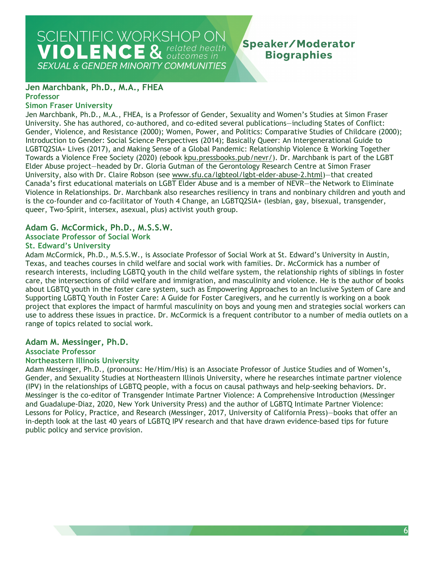## SCIENTIFIC WORKSHOP ON **VIOLENCE & related health**

## **Speaker/Moderator Biographies**

**SEXUAL & GENDER MINORITY COMMUNITIES** 

#### **Jen Marchbank, Ph.D., M.A., FHEA Professor**

#### **Simon Fraser University**

 Gender, Violence, and Resistance (2000); Women, Power, and Politics: Comparative Studies of Childcare (2000); University, also with Dr. Claire Robson (see [www.sfu.ca/lgbteol/lgbt-elder-abuse-2.html\)](http://www.sfu.ca/lgbteol/lgbt-elder-abuse-2.html)—that created Jen Marchbank, Ph.D., M.A., FHEA, is a Professor of Gender, Sexuality and Women's Studies at Simon Fraser University. She has authored, co-authored, and co-edited several publications—including States of Conflict: Introduction to Gender: Social Science Perspectives (2014); Basically Queer: An Intergenerational Guide to LGBTQ2SIA+ Lives (2017), and Making Sense of a Global Pandemic: Relationship Violence & Working Together Towards a Violence Free Society (2020) (ebook [kpu.pressbooks.pub/nevr/\)](https://kpu.pressbooks.pub/nevr/). Dr. Marchbank is part of the LGBT Elder Abuse project—headed by Dr. Gloria Gutman of the Gerontology Research Centre at Simon Fraser Canada's first educational materials on LGBT Elder Abuse and is a member of NEVR—the Network to Eliminate Violence in Relationships. Dr. Marchbank also researches resiliency in trans and nonbinary children and youth and is the co-founder and co-facilitator of Youth 4 Change, an LGBTQ2SIA+ (lesbian, gay, bisexual, transgender, queer, Two-Spirit, intersex, asexual, plus) activist youth group.

## **Adam G. McCormick, Ph.D., M.S.S.W.**

### **Associate Professor of Social Work**

#### **St. Edward's University**

 Texas, and teaches courses in child welfare and social work with families. Dr. McCormick has a number of Adam McCormick, Ph.D., M.S.S.W., is Associate Professor of Social Work at St. Edward's University in Austin, research interests, including LGBTQ youth in the child welfare system, the relationship rights of siblings in foster care, the intersections of child welfare and immigration, and masculinity and violence. He is the author of books about LGBTQ youth in the foster care system, such as Empowering Approaches to an Inclusive System of Care and Supporting LGBTQ Youth in Foster Care: A Guide for Foster Caregivers, and he currently is working on a book project that explores the impact of harmful masculinity on boys and young men and strategies social workers can use to address these issues in practice. Dr. McCormick is a frequent contributor to a number of media outlets on a range of topics related to social work.

#### **Adam M. Messinger, Ph.D.**

#### **Associate Professor**

#### **Northeastern Illinois University**

 Adam Messinger, Ph.D., (pronouns: He/Him/His) is an Associate Professor of Justice Studies and of Women's, (IPV) in the relationships of LGBTQ people, with a focus on causal pathways and help-seeking behaviors. Dr. in-depth look at the last 40 years of LGBTQ IPV research and that have drawn evidence-based tips for future Gender, and Sexuality Studies at Northeastern Illinois University, where he researches intimate partner violence Messinger is the co-editor of Transgender Intimate Partner Violence: A Comprehensive Introduction (Messinger and Guadalupe-Diaz, 2020, New York University Press) and the author of LGBTQ Intimate Partner Violence: Lessons for Policy, Practice, and Research (Messinger, 2017, University of California Press)—books that offer an public policy and service provision.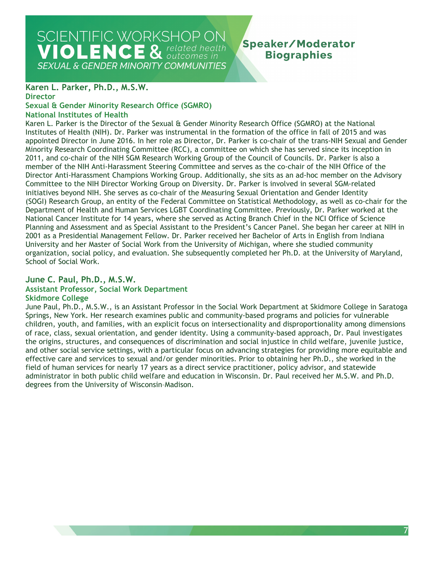### **Speaker/Moderator Biographies**

#### **Karen L. Parker, Ph.D., M.S.W.**

**Director** 

## **Sexual & Gender Minority Research Office (SGMRO)**

#### **National Institutes of Health**

 Institutes of Health (NIH). Dr. Parker was instrumental in the formation of the office in fall of 2015 and was Department of Health and Human Services LGBT Coordinating Committee. Previously, Dr. Parker worked at the National Cancer Institute for 14 years, where she served as Acting Branch Chief in the NCI Office of Science Planning and Assessment and as Special Assistant to the President's Cancer Panel. She began her career at NIH in 2001 as a Presidential Management Fellow. Dr. Parker received her Bachelor of Arts in English from Indiana University and her Master of Social Work from the University of Michigan, where she studied community Karen L. Parker is the Director of the Sexual & Gender Minority Research Office (SGMRO) at the National appointed Director in June 2016. In her role as Director, Dr. Parker is co-chair of the trans-NIH Sexual and Gender Minority Research Coordinating Committee (RCC), a committee on which she has served since its inception in 2011, and co-chair of the NIH SGM Research Working Group of the Council of Councils. Dr. Parker is also a member of the NIH Anti-Harassment Steering Committee and serves as the co-chair of the NIH Office of the Director Anti-Harassment Champions Working Group. Additionally, she sits as an ad-hoc member on the Advisory Committee to the NIH Director Working Group on Diversity. Dr. Parker is involved in several SGM-related initiatives beyond NIH. She serves as co-chair of the Measuring Sexual Orientation and Gender Identity (SOGI) Research Group, an entity of the Federal Committee on Statistical Methodology, as well as co-chair for the organization, social policy, and evaluation. She subsequently completed her Ph.D. at the University of Maryland, School of Social Work.

#### **June C. Paul, Ph.D., M.S.W. Assistant Professor, Social Work Department Skidmore College**

 field of human services for nearly 17 years as a direct service practitioner, policy advisor, and statewide administrator in both public child welfare and education in Wisconsin. Dr. Paul received her M.S.W. and Ph.D. June Paul, Ph.D., M.S.W., is an Assistant Professor in the Social Work Department at Skidmore College in Saratoga Springs, New York. Her research examines public and community-based programs and policies for vulnerable children, youth, and families, with an explicit focus on intersectionality and disproportionality among dimensions of race, class, sexual orientation, and gender identity. Using a community-based approach, Dr. Paul investigates the origins, structures, and consequences of discrimination and social injustice in child welfare, juvenile justice, and other social service settings, with a particular focus on advancing strategies for providing more equitable and effective care and services to sexual and/or gender minorities. Prior to obtaining her Ph.D., she worked in the degrees from the University of Wisconsin–Madison.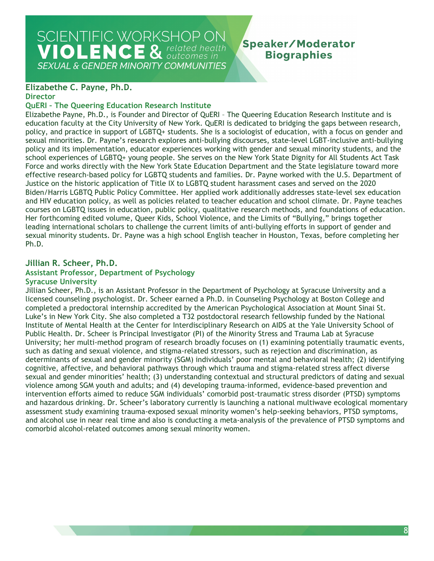## SCIENTIFIC WORKSHOP ON **VIOLENCE & related health**

**SEXUAL & GENDER MINORITY COMMUNITIES** 

## **Speaker/Moderator Biographies**

## **Elizabethe C. Payne, Ph.D.**

#### **Director**

#### **QuERI – The Queering Education Research Institute**

 Elizabethe Payne, Ph.D., is Founder and Director of QuERI – The Queering Education Research Institute and is effective research-based policy for LGBTQ students and families. Dr. Payne worked with the U.S. Department of and HIV education policy, as well as policies related to teacher education and school climate. Dr. Payne teaches education faculty at the City University of New York. QuERI is dedicated to bridging the gaps between research, policy, and practice in support of LGBTQ+ students. She is a sociologist of education, with a focus on gender and sexual minorities. Dr. Payne's research explores anti-bullying discourses, state-level LGBT-inclusive anti-bullying policy and its implementation, educator experiences working with gender and sexual minority students, and the school experiences of LGBTQ+ young people. She serves on the New York State Dignity for All Students Act Task Force and works directly with the New York State Education Department and the State legislature toward more Justice on the historic application of Title IX to LGBTQ student harassment cases and served on the 2020 Biden/Harris LGBTQ Public Policy Committee. Her applied work additionally addresses state-level sex education courses on LGBTQ issues in education, public policy, qualitative research methods, and foundations of education. Her forthcoming edited volume, Queer Kids, School Violence, and the Limits of "Bullying," brings together leading international scholars to challenge the current limits of anti-bullying efforts in support of gender and sexual minority students. Dr. Payne was a high school English teacher in Houston, Texas, before completing her Ph.D.

#### **Jillian R. Scheer, Ph.D. Assistant Professor, Department of Psychology Syracuse University**

 licensed counseling psychologist. Dr. Scheer earned a Ph.D. in Counseling Psychology at Boston College and completed a predoctoral internship accredited by the American Psychological Association at Mount Sinai St. violence among SGM youth and adults; and (4) developing trauma-informed, evidence-based prevention and and alcohol use in near real time and also is conducting a meta-analysis of the prevalence of PTSD symptoms and Jillian Scheer, Ph.D., is an Assistant Professor in the Department of Psychology at Syracuse University and a Luke's in New York City. She also completed a T32 postdoctoral research fellowship funded by the National Institute of Mental Health at the Center for Interdisciplinary Research on AIDS at the Yale University School of Public Health. Dr. Scheer is Principal Investigator (PI) of the Minority Stress and Trauma Lab at Syracuse University; her multi-method program of research broadly focuses on (1) examining potentially traumatic events, such as dating and sexual violence, and stigma-related stressors, such as rejection and discrimination, as determinants of sexual and gender minority (SGM) individuals' poor mental and behavioral health; (2) identifying cognitive, affective, and behavioral pathways through which trauma and stigma-related stress affect diverse sexual and gender minorities' health; (3) understanding contextual and structural predictors of dating and sexual intervention efforts aimed to reduce SGM individuals' comorbid post-traumatic stress disorder (PTSD) symptoms and hazardous drinking. Dr. Scheer's laboratory currently is launching a national multiwave ecological momentary assessment study examining trauma-exposed sexual minority women's help-seeking behaviors, PTSD symptoms, comorbid alcohol-related outcomes among sexual minority women.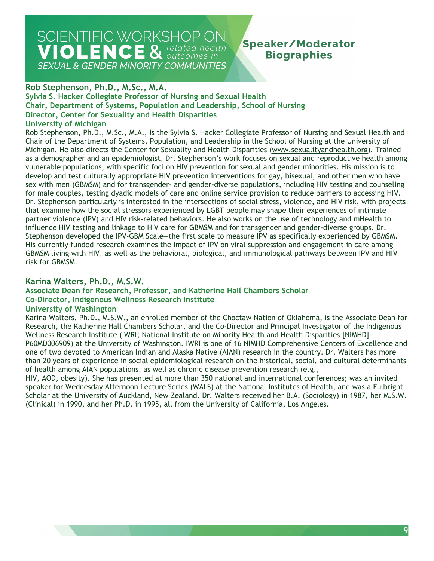## **Speaker/Moderator Biographies**

#### **Rob Stephenson, Ph.D., M.Sc., M.A.**

 **Sylvia S. Hacker Collegiate Professor of Nursing and Sexual Health Chair, Department of Systems, Population and Leadership, School of Nursing Director, Center for Sexuality and Health Disparities** 

## **University of Michigan**

Michigan. He also directs the Center for Sexuality and Health Disparities [\(www.sexualityandhealth.org\)](http://www.sexualityandhealth.org/). Trained vulnerable populations, with specific foci on HIV prevention for sexual and gender minorities. His mission is to develop and test culturally appropriate HIV prevention interventions for gay, bisexual, and other men who have sex with men (GBMSM) and for transgender- and gender-diverse populations, including HIV testing and counseling partner violence (IPV) and HIV risk-related behaviors. He also works on the use of technology and mHealth to influence HIV testing and linkage to HIV care for GBMSM and for transgender and gender-diverse groups. Dr. Stephenson developed the IPV-GBM Scale—the first scale to measure IPV as specifically experienced by GBMSM. Rob Stephenson, Ph.D., M.Sc., M.A., is the Sylvia S. Hacker Collegiate Professor of Nursing and Sexual Health and Chair of the Department of Systems, Population, and Leadership in the School of Nursing at the University of as a demographer and an epidemiologist, Dr. Stephenson's work focuses on sexual and reproductive health among for male couples, testing dyadic models of care and online service provision to reduce barriers to accessing HIV. Dr. Stephenson particularly is interested in the intersections of social stress, violence, and HIV risk, with projects that examine how the social stressors experienced by LGBT people may shape their experiences of intimate His currently funded research examines the impact of IPV on viral suppression and engagement in care among GBMSM living with HIV, as well as the behavioral, biological, and immunological pathways between IPV and HIV risk for GBMSM.

#### **Karina Walters, Ph.D., M.S.W.**

#### **Associate Dean for Research, Professor, and Katherine Hall Chambers Scholar Co-Director, Indigenous Wellness Research Institute**

#### **University of Washington**

 P60MD006909) at the University of Washington. IWRI is one of 16 NIMHD Comprehensive Centers of Excellence and than 20 years of experience in social epidemiological research on the historical, social, and cultural determinants Karina Walters, Ph.D., M.S.W., an enrolled member of the Choctaw Nation of Oklahoma, is the Associate Dean for Research, the Katherine Hall Chambers Scholar, and the Co-Director and Principal Investigator of the Indigenous Wellness Research Institute (IWRI; National Institute on Minority Health and Health Disparities [NIMHD] one of two devoted to American Indian and Alaska Native (AIAN) research in the country. Dr. Walters has more of health among AIAN populations, as well as chronic disease prevention research (e.g.,

 (Clinical) in 1990, and her Ph.D. in 1995, all from the University of California, Los Angeles. HIV, AOD, obesity). She has presented at more than 350 national and international conferences; was an invited speaker for Wednesday Afternoon Lecture Series (WALS) at the National Institutes of Health; and was a Fulbright Scholar at the University of Auckland, New Zealand. Dr. Walters received her B.A. (Sociology) in 1987, her M.S.W.